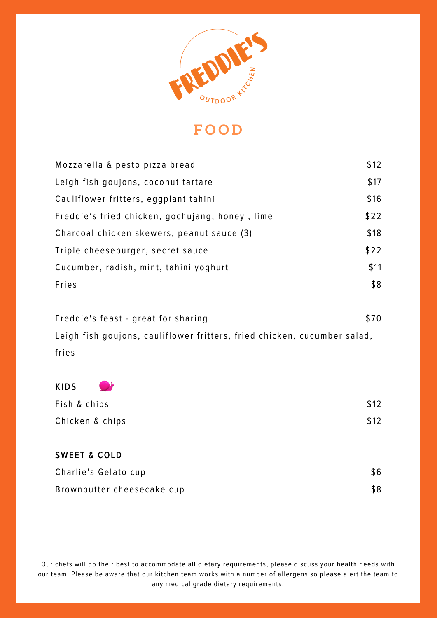

| Mozzarella & pesto pizza bread                  | \$12 |
|-------------------------------------------------|------|
| Leigh fish goujons, coconut tartare             | \$17 |
| Cauliflower fritters, eggplant tahini           | \$16 |
| Freddie's fried chicken, gochujang, honey, lime | \$22 |
| Charcoal chicken skewers, peanut sauce (3)      | \$18 |
| Triple cheeseburger, secret sauce               | \$22 |
| Cucumber, radish, mint, tahini yoghurt          | \$11 |
| Fries                                           | \$8  |
|                                                 |      |

| Freddie's feast - great for sharing                                      | \$70 |
|--------------------------------------------------------------------------|------|
| Leigh fish goujons, cauliflower fritters, fried chicken, cucumber salad, |      |
| fries                                                                    |      |

\$12

\$12

**KIDS** Fish & chips Chicken & chips

**SWEET & COLD** Charlie's Gelato cup Brownbutter cheesecake cup \$6 \$8

Our chefs will do their best to accommodate all dietary requirements, please discuss your health needs with our team. Please be aware that our kitchen team works with a number of allergens so please alert the team to any medical grade dietary requirements.